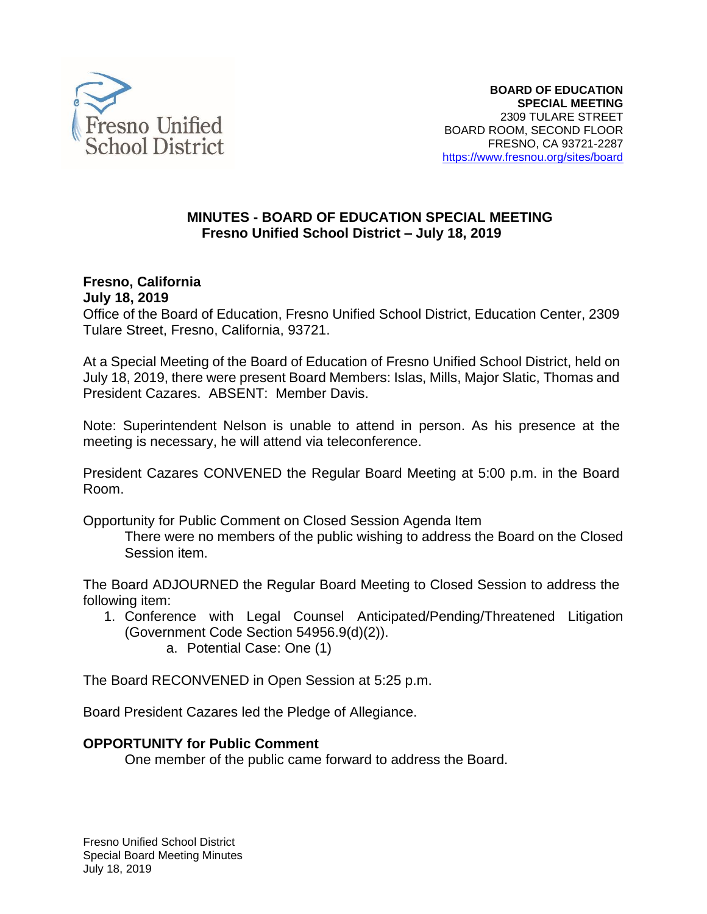

#### **MINUTES - BOARD OF EDUCATION SPECIAL MEETING Fresno Unified School District – July 18, 2019**

#### **Fresno, California July 18, 2019**

Office of the Board of Education, Fresno Unified School District, Education Center, 2309 Tulare Street, Fresno, California, 93721.

At a Special Meeting of the Board of Education of Fresno Unified School District, held on July 18, 2019, there were present Board Members: Islas, Mills, Major Slatic, Thomas and President Cazares. ABSENT: Member Davis.

Note: Superintendent Nelson is unable to attend in person. As his presence at the meeting is necessary, he will attend via teleconference.

President Cazares CONVENED the Regular Board Meeting at 5:00 p.m. in the Board Room.

Opportunity for Public Comment on Closed Session Agenda Item

There were no members of the public wishing to address the Board on the Closed Session item.

The Board ADJOURNED the Regular Board Meeting to Closed Session to address the following item:

- 1. Conference with Legal Counsel Anticipated/Pending/Threatened Litigation (Government Code Section 54956.9(d)(2)).
	- a. Potential Case: One (1)

The Board RECONVENED in Open Session at 5:25 p.m.

Board President Cazares led the Pledge of Allegiance.

## **OPPORTUNITY for Public Comment**

One member of the public came forward to address the Board.